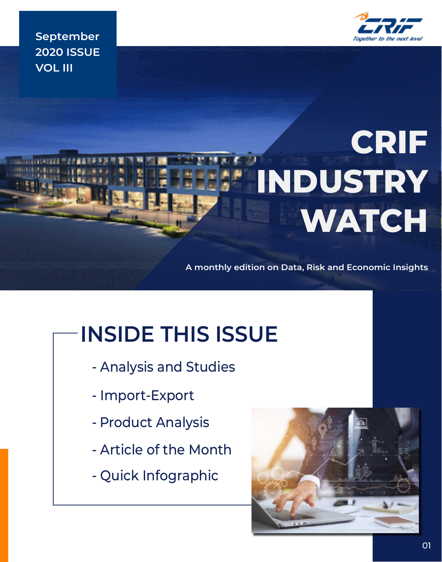

**September 2020 ISSUE VOL III**

# **CRIF INDUSTRY WATCH**

**A monthly edition on Data, Risk and Economic Insights**

# **INSIDE THIS ISSUE**

- Analysis and Studies
- Import-Export
- Product Analysis
- Article of the Month
- Quick Infographic

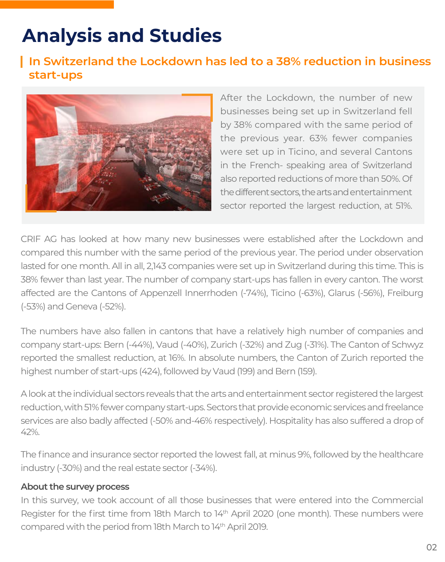# **Analysis and Studies**

### **In Switzerland the Lockdown has led to a 38% reduction in business start-ups**



After the Lockdown, the number of new businesses being set up in Switzerland fell by 38% compared with the same period of the previous year. 63% fewer companies were set up in Ticino, and several Cantons in the French- speaking area of Switzerland also reported reductions of more than 50%. Of the different sectors, the arts and entertainment sector reported the largest reduction, at 51%.

CRIF AG has looked at how many new businesses were established after the Lockdown and compared this number with the same period of the previous year. The period under observation lasted for one month. All in all, 2,143 companies were set up in Switzerland during this time. This is 38% fewer than last year. The number of company start-ups has fallen in every canton. The worst affected are the Cantons of Appenzell Innerrhoden (-74%), Ticino (-63%), Glarus (-56%), Freiburg (-53%) and Geneva (-52%).

The numbers have also fallen in cantons that have a relatively high number of companies and company start-ups: Bern (-44%), Vaud (-40%), Zurich (-32%) and Zug (-31%). The Canton of Schwyz reported the smallest reduction, at 16%. In absolute numbers, the Canton of Zurich reported the highest number of start-ups (424), followed by Vaud (199) and Bern (159).

A look at the individual sectors reveals that the arts and entertainment sector registered the largest reduction, with 51% fewer company start-ups. Sectors that provide economic services and freelance services are also badly affected (-50% and-46% respectively). Hospitality has also suffered a drop of 42%.

The finance and insurance sector reported the lowest fall, at minus 9%, followed by the healthcare industry (-30%) and the real estate sector (-34%).

#### **About the survey process**

In this survey, we took account of all those businesses that were entered into the Commercial Register for the first time from 18th March to 14<sup>th</sup> April 2020 (one month). These numbers were compared with the period from 18th March to 14th April 2019.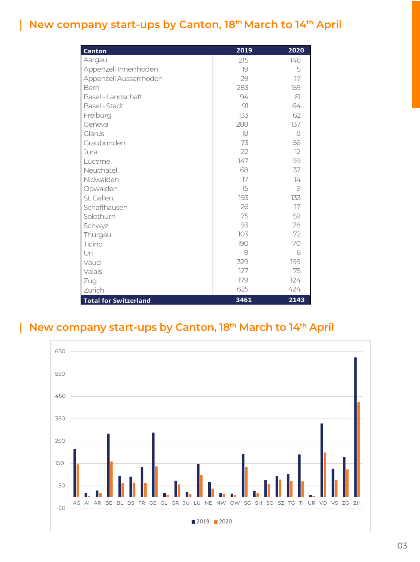# **New company start-ups by Canton, 18th March to 14th April**

I

| <b>Canton</b>                | 2019           | 2020          |
|------------------------------|----------------|---------------|
| Aargau                       | 215            | 146           |
| Appenzell Innerrhoden        | 79             | 5             |
| Appenzell Ausserrhoden       | 29             | 17            |
| Bern                         | 283            | 159           |
| Basel - Landschaft           | 94             | 61            |
| Basel - Stadt                | 91             | 64            |
| Freiburg                     | 133            | 62            |
| Geneva                       | 288            | 137           |
| Glarus                       | 18             | 8             |
| Graubunden                   | 73             | 56            |
| Jura                         | 22             | 12            |
| Lucerne                      | 147            | 99            |
| Neuchatel                    | 68             | 37            |
| Nidwalden                    | 17             | $\frac{1}{4}$ |
| Obwalden                     | 15             | 9             |
| St. Gallen                   | 193            | 133           |
| Schaffhausen                 | 26             | 17            |
| Solothurn                    | 75             | 59            |
| Schwyz                       | 93             | 78            |
| Thurgau                      | 103            | 72            |
| Ticino                       | 190            | 70            |
| Uri                          | $\overline{9}$ | 6             |
| Vaud                         | 329            | 199           |
| Valais                       | 127            | 75            |
| Zug                          | 179            | 124           |
| Zurich                       | 625            | 424           |
| <b>Total for Switzerland</b> | 3461           | 2143          |

#### **New company start-ups by Canton, 18th March to 14th April** I

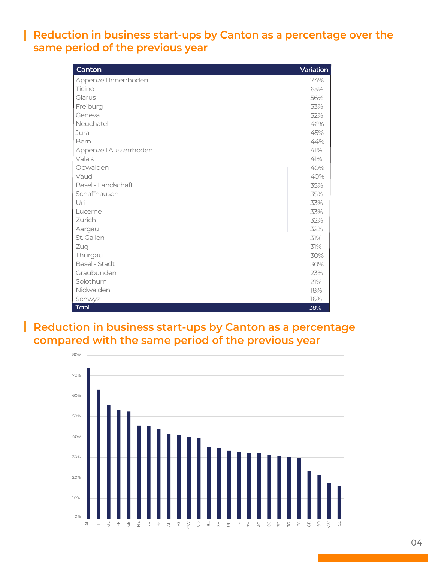### **Reduction in business start-ups by Canton as a percentage over the same period of the previous year**

ı

| Canton                 | Variation |
|------------------------|-----------|
| Appenzell Innerrhoden  | 74%       |
| Ticino                 | 63%       |
| Glarus                 | 56%       |
| Freiburg               | 53%       |
| Geneva                 | 52%       |
| Neuchatel              | 46%       |
| Jura                   | 45%       |
| Bern                   | 44%       |
| Appenzell Ausserrhoden | 41%       |
| Valais                 | 41%       |
| Obwalden               | 40%       |
| Vaud                   | 40%       |
| Basel - Landschaft     | 35%       |
| Schaffhausen           | 35%       |
| Uri                    | 33%       |
| Lucerne                | 33%       |
| Zurich                 | 32%       |
| Aargau                 | 32%       |
| St. Gallen             | 31%       |
| Zug                    | 31%       |
| Thurgau                | 30%       |
| Basel - Stadt          | 30%       |
| Graubunden             | 23%       |
| Solothurn              | 21%       |
| Nidwalden              | 18%       |
| Schwyz                 | 16%       |
| <b>Total</b>           | 38%       |

### **Reduction in business start-ups by Canton as a percentage compared with the same period of the previous year**

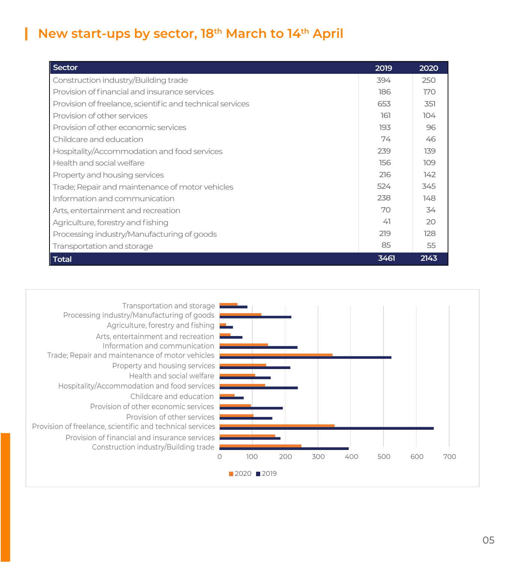### **New start-ups by sector, 18th March to 14th April**

ı

| Sector                                                    | 2019 | 2020 |
|-----------------------------------------------------------|------|------|
| Construction industry/Building trade                      | 394  | 250  |
| Provision of financial and insurance services             | 186  | 170  |
| Provision of freelance, scientific and technical services | 653  | 351  |
| Provision of other services                               | 161  | 104  |
| Provision of other economic services                      | 193  | 96   |
| Childcare and education                                   | 74   | 46   |
| Hospitality/Accommodation and food services               | 239  | 139  |
| Health and social welfare                                 | 156  | 109  |
| Property and housing services                             | 216  | 142  |
| Trade; Repair and maintenance of motor vehicles           | 524  | 345  |
| Information and communication                             | 238  | 148  |
| Arts, entertainment and recreation                        | 70   | 34   |
| Agriculture, forestry and fishing                         | 41   | 20   |
| Processing industry/Manufacturing of goods                | 219  | 128  |
| Transportation and storage                                | 85   | 55   |
| <b>Total</b>                                              | 3461 | 2143 |

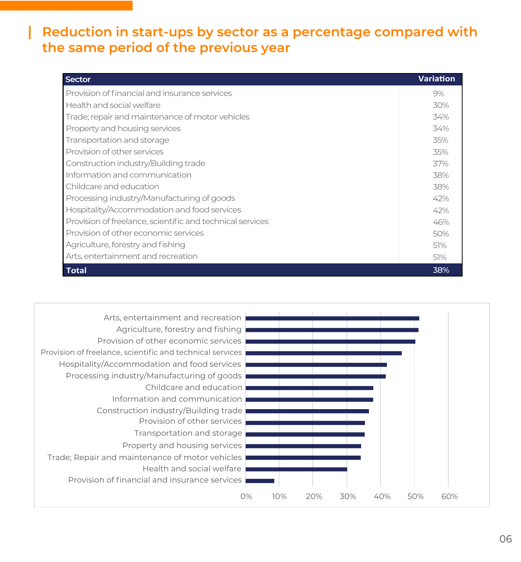### **Reduction in start-ups by sector as a percentage compared with the same period of the previous year**

| <b>Sector</b>                                             | <b>Variation</b> |
|-----------------------------------------------------------|------------------|
| Provision of financial and insurance services             | 9%               |
| Health and social welfare                                 | 30%              |
| Trade; repair and maintenance of motor vehicles           | 34%              |
| Property and housing services                             | 34%              |
| Transportation and storage                                | 35%              |
| Provision of other services                               | 35%              |
| Construction industry/Building trade                      | 37%              |
| Information and communication                             | 38%              |
| Childcare and education                                   | 38%              |
| Processing industry/Manufacturing of goods                | 42%              |
| Hospitality/Accommodation and food services               | 42%              |
| Provision of freelance, scientific and technical services | 46%              |
| Provision of other economic services                      | 50%              |
| Agriculture, forestry and fishing                         | 51%              |
| Arts, entertainment and recreation                        | 51%              |
| <b>Total</b>                                              | 38%              |

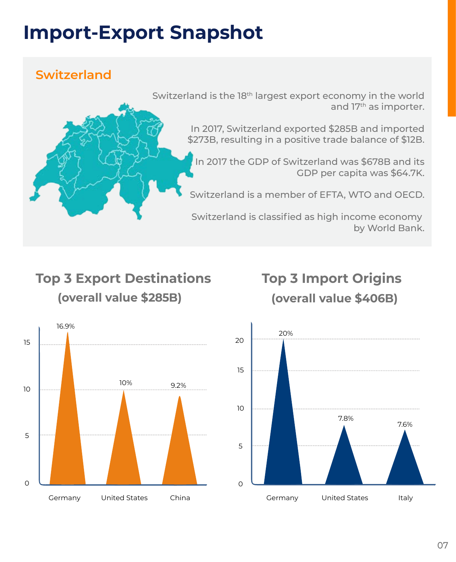# **Import-Export Snapshot**

# **Switzerland**



# **Top 3 Export Destinations (overall value \$285B)**

# **Top 3 Import Origins (overall value \$406B)**



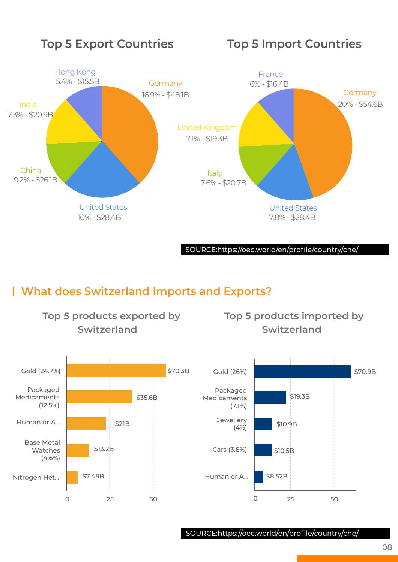

SOURCE:https://oec.world/en/profile/country/che/

# **What does Switzerland Imports and Exports?**

**Top 5 products exported by** 



SOURCE:https://oec.world/en/profile/country/che/

08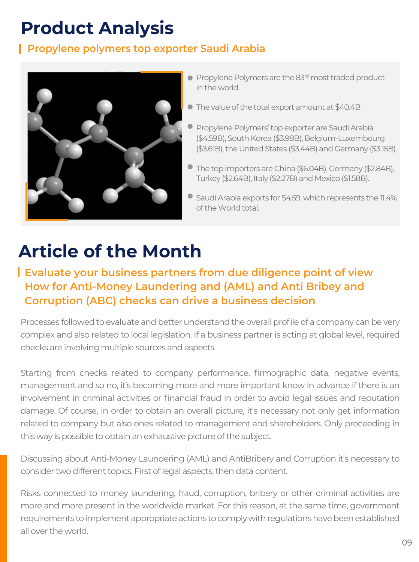# **Product Analysis**

### **Propylene polymers top exporter Saudi Arabia**



- **Propylene Polymers are the 83rd most traded product** in the world.
- The value of the total export amount at \$40.4B
- **Propylene Polymers' top exporter are Saudi Arabia** (\$4.59B), South Korea (\$3.98B), Belgium-Luxembourg (\$3.61B), the United States (\$3.44B) and Germany (\$3.15B).
- The top importers are China (\$6.04B), Germany (\$2.84B), Turkey (\$2.64B), Italy (\$2.27B) and Mexico (\$1.58B).
- Saudi Arabia exports for \$4.59, which represents the 11.4% of the World total.

# **Article of the Month**

## **Evaluate your business partners from due diligence point of view How for Anti-Money Laundering and (AML) and Anti Bribey and Corruption (ABC) checks can drive a business decision**

Processes followed to evaluate and better understand the overall profile of a company can be very complex and also related to local legislation. If a business partner is acting at global level, required checks are involving multiple sources and aspects.

Starting from checks related to company performance, firmographic data, negative events, management and so no, it's becoming more and more important know in advance if there is an involvement in criminal activities or financial fraud in order to avoid legal issues and reputation damage. Of course, in order to obtain an overall picture, it's necessary not only get information related to company but also ones related to management and shareholders. Only proceeding in this way is possible to obtain an exhaustive picture of the subject.

Discussing about Anti-Money Laundering (AML) and AntiBribery and Corruption it's necessary to consider two different topics. First of legal aspects, then data content.

Risks connected to money laundering, fraud, corruption, bribery or other criminal activities are more and more present in the worldwide market. For this reason, at the same time, government requirements to implement appropriate actions to comply with regulations have been established all over the world.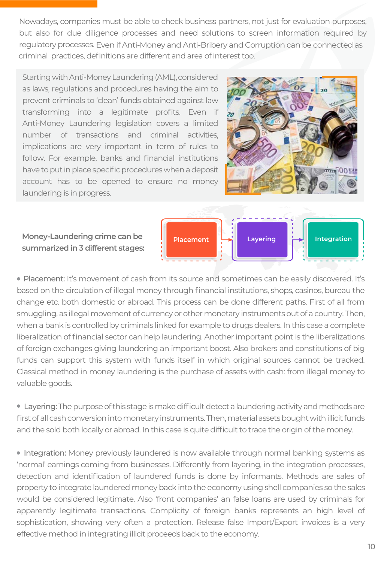Nowadays, companies must be able to check business partners, not just for evaluation purposes, but also for due diligence processes and need solutions to screen information required by regulatory processes. Even if Anti-Money and Anti-Bribery and Corruption can be connected as criminal practices, definitions are different and area of interest too.

Starting with Anti-Money Laundering (AML), considered as laws, regulations and procedures having the aim to prevent criminals to 'clean' funds obtained against law transforming into a legitimate profits. Even if Anti-Money Laundering legislation covers a limited number of transactions and criminal activities, implications are very important in term of rules to follow. For example, banks and financial institutions have to put in place specific procedures when a deposit account has to be opened to ensure no money laundering is in progress.

**Money-Laundering crime can be summarized in 3 different stages:**





• Placement: It's movement of cash from its source and sometimes can be easily discovered. It's based on the circulation of illegal money through financial institutions, shops, casinos, bureau the change etc. both domestic or abroad. This process can be done different paths. First of all from smuggling, as illegal movement of currency or other monetary instruments out of a country. Then, when a bank is controlled by criminals linked for example to drugs dealers. In this case a complete liberalization of financial sector can help laundering. Another important point is the liberalizations of foreign exchanges giving laundering an important boost. Also brokers and constitutions of big funds can support this system with funds itself in which original sources cannot be tracked. Classical method in money laundering is the purchase of assets with cash: from illegal money to valuable goods.

• Layering: The purpose of this stage is make difficult detect a laundering activity and methods are first of all cash conversion into monetary instruments. Then, material assets bought with illicit funds and the sold both locally or abroad. In this case is quite difficult to trace the origin of the money.

• Integration: Money previously laundered is now available through normal banking systems as 'normal' earnings coming from businesses. Differently from layering, in the integration processes, detection and identification of laundered funds is done by informants. Methods are sales of property to integrate laundered money back into the economy using shell companies so the sales would be considered legitimate. Also 'front companies' an false loans are used by criminals for apparently legitimate transactions. Complicity of foreign banks represents an high level of sophistication, showing very often a protection. Release false Import/Export invoices is a very effective method in integrating illicit proceeds back to the economy.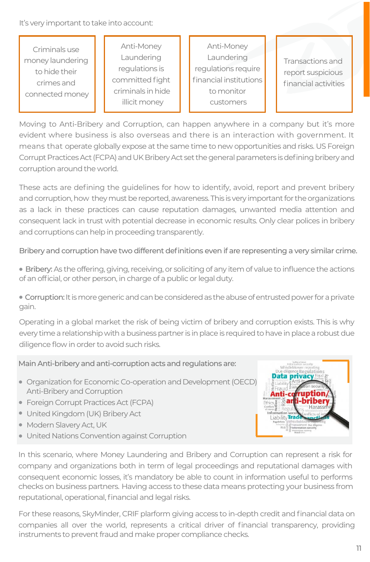It's very important to take into account:

Criminals use money laundering to hide their crimes and connected money

Anti-Money Laundering regulations is committed fight criminals in hide illicit money

Anti-Money **Laundering** regulations require financial institutions to monitor customers

Transactions and report suspicious financial activities

Moving to Anti-Bribery and Corruption, can happen anywhere in a company but it's more evident where business is also overseas and there is an interaction with government. It means that operate globally expose at the same time to new opportunities and risks. US Foreign Corrupt Practices Act (FCPA) and UK Bribery Act set the general parameters is defining bribery and corruption around the world.

These acts are defining the guidelines for how to identify, avoid, report and prevent bribery and corruption, how they must be reported, awareness. This is very important for the organizations as a lack in these practices can cause reputation damages, unwanted media attention and consequent lack in trust with potential decrease in economic results. Only clear polices in bribery and corruptions can help in proceeding transparently.

Bribery and corruption have two different definitions even if are representing a very similar crime.

• Bribery: As the offering, giving, receiving, or soliciting of any item of value to influence the actions of an official, or other person, in charge of a public or legal duty.

• Corruption: It is more generic and can be considered as the abuse of entrusted power for a private gain.

Operating in a global market the risk of being victim of bribery and corruption exists. This is why every time a relationship with a business partner is in place is required to have in place a robust due diligence flow in order to avoid such risks.

Main Anti-bribery and anti-corruption acts and regulations are:

- Organization for Economic Co-operation and Development (OECD) Anti-Bribery and Corruption
- Foreign Corrupt Practices Act (FCPA)
- United Kingdom (UK) Bribery Act
- Modern Slavery Act, UK
- United Nations Convention against Corruption



In this scenario, where Money Laundering and Bribery and Corruption can represent a risk for company and organizations both in term of legal proceedings and reputational damages with consequent economic losses, it's mandatory be able to count in information useful to performs checks on business partners. Having access to these data means protecting your business from reputational, operational, financial and legal risks.

For these reasons, SkyMinder, CRIF plarform giving access to in-depth credit and financial data on companies all over the world, represents a critical driver of financial transparency, providing instruments to prevent fraud and make proper compliance checks.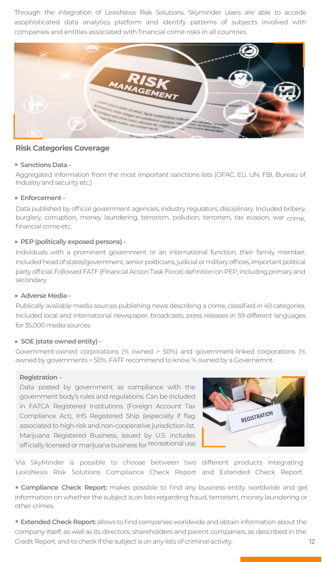Through the integration of LexisNexis Risk Solutions, Skyminder users are able to accede asophisticated data analytics platform and identify patterns of subjects involved with companies and entities associated with financial crime risks in all countries.



#### **Risk Categories Coverage**

#### **Sanctions Data -**

Aggregated information from the most important sanctions lists (OFAC, EU, UN, FBI, Bureau of Industry and security etc.)

#### **Enforcement -**

Data published by official government agencies, industry regulators, disciplinary. Included bribery, burglary, corruption, money laundering, terrorism, pollution, terrorism, tax evasion, war crime, financial crime etc.

#### **PEP (politically exposed persons) -**

Individuals with a prominent government or an international function, their family member, included head of states/government, senior politicians, judicial or military offices, important political party official. Followed FATF (Financial Action Task Force) definition on PEP, including primary and secondary.

#### **Adverse Media -**

Publically available media sources publishing news describing a crime, classified in 49 categories. Included local and international newspaper, broadcasts, press releases in 59 different languages for 35,000 media sources.

#### **SOE (state owned entity) -**

Government-owned corporations (% owned > 50%) and government-linked corporations (% owned by governments < 50%. FATF recommend to know % owned by a Governemnt.

#### **Registration -**

Data posted by government as compliance with the government body's rules and regulations. Can be included in FATCA Registered Institutions (Foreign Account Tax Compliance Act), IHS Registered Ship (especially if flag associated to high-risk and non-cooperative jurisdiction list. Marijuana Registered Business, issued by U.S. includes officially licensed ormarijuana business for recreational use.



Via SkyMinder is possible to choose between two different products integrating LexisNexis Risk Solutions Compliance Check Report and Extended Check Report.

**Compliance Check Report:** makes possible to find any business entity worldwide and get information on whether the subject is on lists regarding fraud, terrorism, money laundering or other crimes.

 **Extended Check Report:** allows to find companies worldwide and obtain information about the company itself, as well as its directors, shareholders and parent companies, as described in the Credit Report, and to check if the subject is on any lists of criminal activity.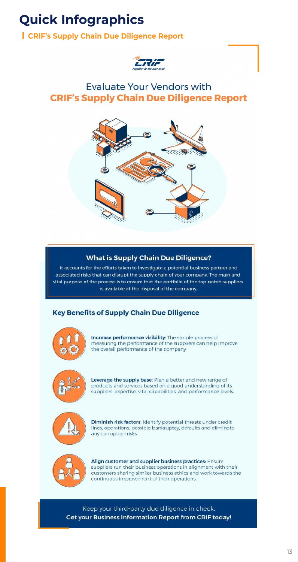# **Quick Infographics**

# **CRIF's Supply Chain Due Diligence Report**



# **Evaluate Your Vendors with CRIF's Supply Chain Due Diligence Report**



### **What is Supply Chain Due Diligence?**

It accounts for the efforts taken to investigate a potential business partner and associated risks that can disrupt the supply chain of your company. The main and vital purpose of the process is to ensure that the portfolio of the top-notch suppliers is available at the disposal of the company.

### **Key Benefits of Supply Chain Due Diligence**



Increase performance visibility: The simple process of measuring the performance of the suppliers can help improve the overall performance of the company.



Leverage the supply base: Plan a better and new range of products and services based on a good understanding of its suppliers' expertise, vital capabilities, and performance levels.



Diminish risk factors: Identify potential threats under credit lines, operations, possible bankruptcy, defaults and eliminate any corruption risks.



Align customer and supplier business practices: Ensure suppliers run their business operations in alignment with their customers sharing similar business ethics and work towards the continuous improvement of their operations.

Keep your third-party due diligence in check. **Get your Business Information Report from CRIF today!**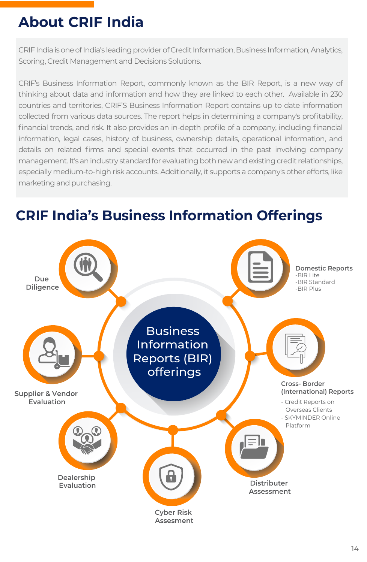# **About CRIF India**

CRIF India is one of India's leading provider of Credit Information, Business Information, Analytics, Scoring, Credit Management and Decisions Solutions.

CRIF's Business Information Report, commonly known as the BIR Report, is a new way of thinking about data and information and how they are linked to each other. Available in 230 countries and territories, CRIF'S Business Information Report contains up to date information collected from various data sources. The report helps in determining a company's profitability, financial trends, and risk. It also provides an in-depth profile of a company, including financial information, legal cases, history of business, ownership details, operational information, and details on related firms and special events that occurred in the past involving company management. It's an industry standard for evaluating both new and existing credit relationships, especially medium-to-high risk accounts. Additionally, it supports a company's other efforts, like marketing and purchasing.

# **CRIF India's Business Information Offerings**